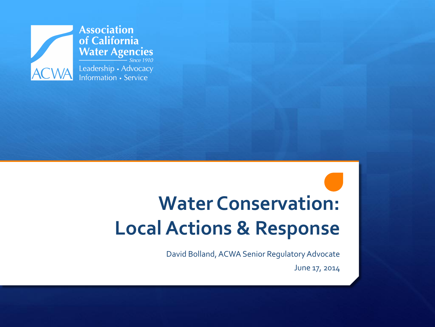

 $Since 1910$ 

**Water Conservation: Local Actions & Response**

David Bolland, ACWA Senior Regulatory Advocate

June 17, 2014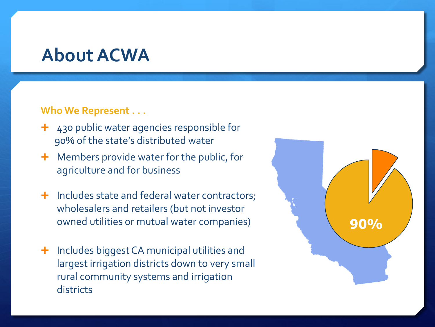#### **About ACWA**

#### **Who We Represent . . .**

- $+$  430 public water agencies responsible for 90% of the state's distributed water
- **+** Members provide water for the public, for agriculture and for business
- $\pm$  Includes state and federal water contractors; wholesalers and retailers (but not investor owned utilities or mutual water companies)
- **+** Includes biggest CA municipal utilities and largest irrigation districts down to very small rural community systems and irrigation districts

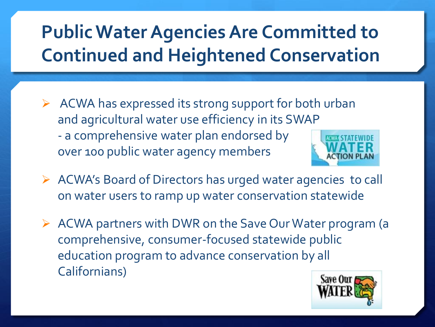## **Public Water Agencies Are Committed to Continued and Heightened Conservation**

- $\triangleright$  ACWA has expressed its strong support for both urban and agricultural water use efficiency in its SWAP - a comprehensive water plan endorsed by over 100 public water agency members
- ACWA's Board of Directors has urged water agencies to call on water users to ramp up water conservation statewide
- $\triangleright$  ACWA partners with DWR on the Save Our Water program (a comprehensive, consumer-focused statewide public education program to advance conservation by all Californians)

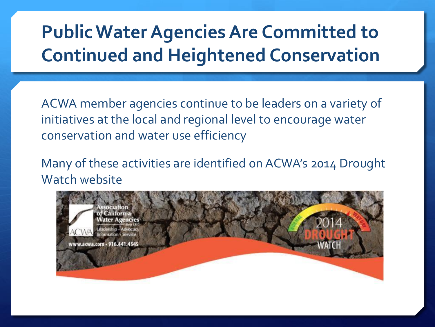## **Public Water Agencies Are Committed to Continued and Heightened Conservation**

ACWA member agencies continue to be leaders on a variety of initiatives at the local and regional level to encourage water conservation and water use efficiency

Many of these activities are identified on ACWA's 2014 Drought Watch website

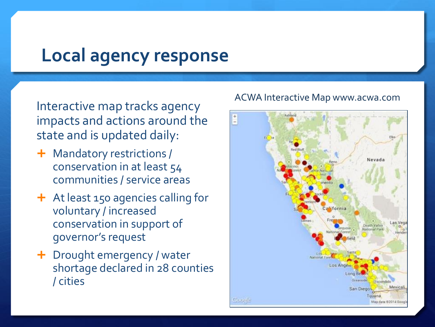#### **Local agency response**

Interactive map tracks agency impacts and actions around the state and is updated daily:

- Mandatory restrictions / conservation in at least 54 communities / service areas
- At least 150 agencies calling for voluntary / increased conservation in support of governor's request
- Drought emergency / water shortage declared in 28 counties / cities

#### ACWA Interactive Map www.acwa.com

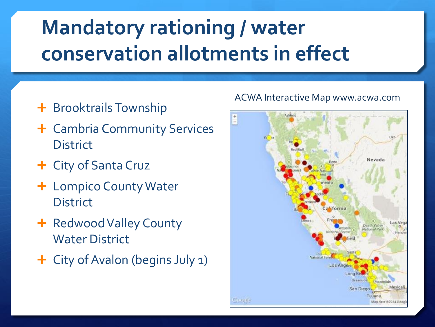# **Mandatory rationing / water conservation allotments in effect**

- + Brooktrails Township
- Cambria Community Services **District**
- City of Santa Cruz
- + Lompico County Water **District**
- + Redwood Valley County Water District
- City of Avalon (begins July 1)

#### ACWA Interactive Map www.acwa.com

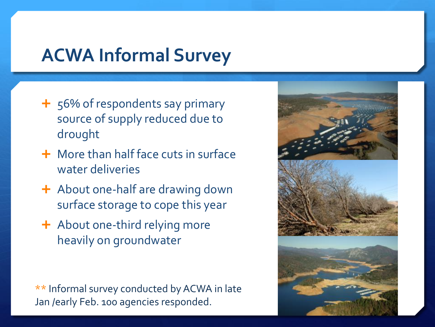### **ACWA Informal Survey**

- + 56% of respondents say primary source of supply reduced due to drought
- **+** More than half face cuts in surface water deliveries
- $\div$  About one-half are drawing down surface storage to cope this year
- + About one-third relying more heavily on groundwater

\*\* Informal survey conducted by ACWA in late Jan /early Feb. 100 agencies responded.

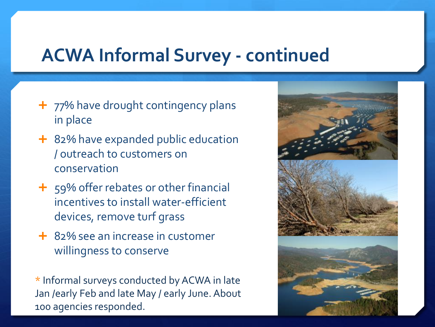### **ACWA Informal Survey - continued**

- $+$  77% have drought contingency plans in place
- + 82% have expanded public education / outreach to customers on conservation
- + 59% offer rebates or other financial incentives to install water-efficient devices, remove turf grass
- **+** 82% see an increase in customer willingness to conserve

\* Informal surveys conducted by ACWA in late Jan /early Feb and late May / early June. About 100 agencies responded.

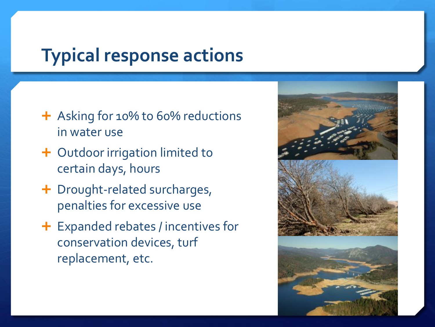### **Typical response actions**

- + Asking for 10% to 60% reductions in water use
- + Outdoor irrigation limited to certain days, hours
- + Drought-related surcharges, penalties for excessive use
- Expanded rebates / incentives for conservation devices, turf replacement, etc.

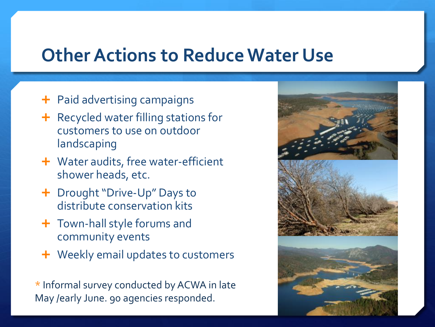#### **Other Actions to Reduce Water Use**

- **+** Paid advertising campaigns
- $\div$  Recycled water filling stations for customers to use on outdoor landscaping
- **+** Water audits, free water-efficient shower heads, etc.
- + Drought "Drive-Up" Days to distribute conservation kits
- **+** Town-hall style forums and community events
- **+** Weekly email updates to customers

\* Informal survey conducted by ACWA in late May /early June. 90 agencies responded.

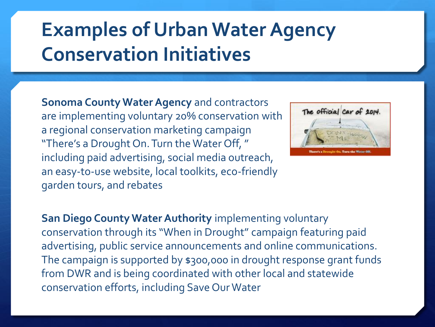## **Examples of Urban Water Agency Conservation Initiatives**

**Sonoma County Water Agency** and contractors are implementing voluntary 20% conservation with a regional conservation marketing campaign "There's a Drought On. Turn the Water Off, " including paid advertising, social media outreach, an easy-to-use website, local toolkits, eco-friendly garden tours, and rebates



**San Diego County Water Authority** implementing voluntary conservation through its "When in Drought" campaign featuring paid advertising, public service announcements and online communications. The campaign is supported by \$300,000 in drought response grant funds from DWR and is being coordinated with other local and statewide conservation efforts, including Save Our Water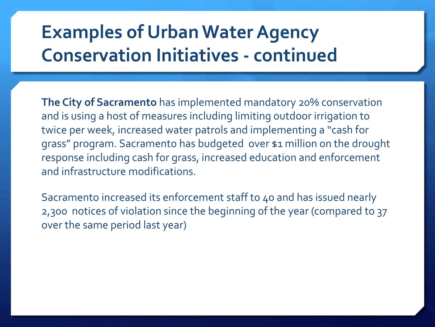## **Examples of Urban Water Agency Conservation Initiatives - continued**

**The City of Sacramento** has implemented mandatory 20% conservation and is using a host of measures including limiting outdoor irrigation to twice per week, increased water patrols and implementing a "cash for grass" program. Sacramento has budgeted over \$1 million on the drought response including cash for grass, increased education and enforcement and infrastructure modifications.

Sacramento increased its enforcement staff to 40 and has issued nearly 2,300 notices of violation since the beginning of the year (compared to 37 over the same period last year)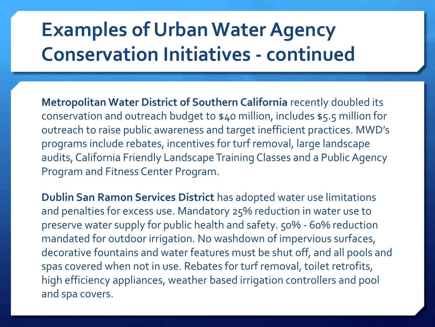## **Examples of Urban Water Agency Conservation Initiatives - continued**

**Metropolitan Water District of Southern California** recently doubled its conservation and outreach budget to \$40 million, includes \$5.5 million for outreach to raise public awareness and target inefficient practices. MWD's programs include rebates, incentives for turf removal, large landscape audits, California Friendly Landscape Training Classes and a Public Agency Program and Fitness Center Program.

**Dublin San Ramon Services District** has adopted water use limitations and penalties for excess use. Mandatory 25% reduction in water use to preserve water supply for public health and safety. 50% - 60% reduction mandated for outdoor irrigation. No washdown of impervious surfaces, decorative fountains and water features must be shut off, and all pools and spas covered when not in use. Rebates for turf removal, toilet retrofits, high efficiency appliances, weather based irrigation controllers and pool and spa covers.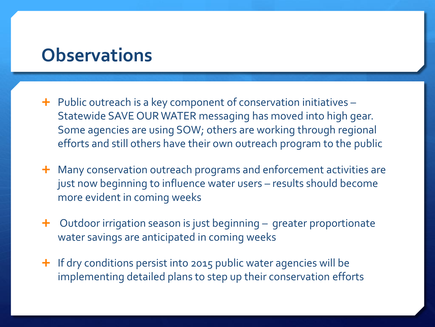#### **Observations**

- $\div$  Public outreach is a key component of conservation initiatives Statewide SAVE OUR WATER messaging has moved into high gear. Some agencies are using SOW; others are working through regional efforts and still others have their own outreach program to the public
- **+** Many conservation outreach programs and enforcement activities are just now beginning to influence water users – results should become more evident in coming weeks
- $\pm$  Outdoor irrigation season is just beginning greater proportionate water savings are anticipated in coming weeks
- $\pm$  If dry conditions persist into 2015 public water agencies will be implementing detailed plans to step up their conservation efforts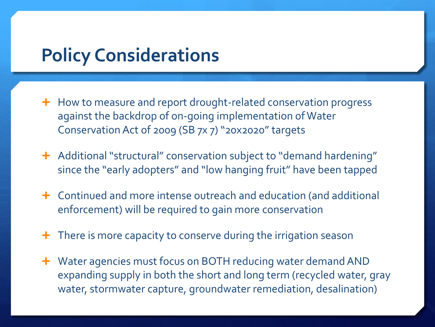#### **Policy Considerations**

- $\pm$  How to measure and report drought-related conservation progress against the backdrop of on-going implementation of Water Conservation Act of 2009 (SB 7x 7) "20x2020" targets
- **+** Additional "structural" conservation subject to "demand hardening" since the "early adopters" and "low hanging fruit" have been tapped
- Continued and more intense outreach and education (and additional enforcement) will be required to gain more conservation
- $\pm$  There is more capacity to conserve during the irrigation season
- **+** Water agencies must focus on BOTH reducing water demand AND expanding supply in both the short and long term (recycled water, gray water, stormwater capture, groundwater remediation, desalination)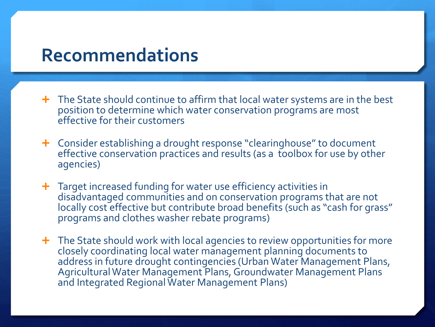#### **Recommendations**

- **+** The State should continue to affirm that local water systems are in the best position to determine which water conservation programs are most effective for their customers
- Consider establishing a drought response "clearinghouse" to document effective conservation practices and results (as a toolbox for use by other agencies)
- **+** Target increased funding for water use efficiency activities in disadvantaged communities and on conservation programs that are not locally cost effective but contribute broad benefits (such as "cash for grass" programs and clothes washer rebate programs)
- **+** The State should work with local agencies to review opportunities for more closely coordinating local water management planning documents to address in future drought contingencies (Urban Water Management Plans, Agricultural Water Management Plans, Groundwater Management Plans and Integrated Regional Water Management Plans)